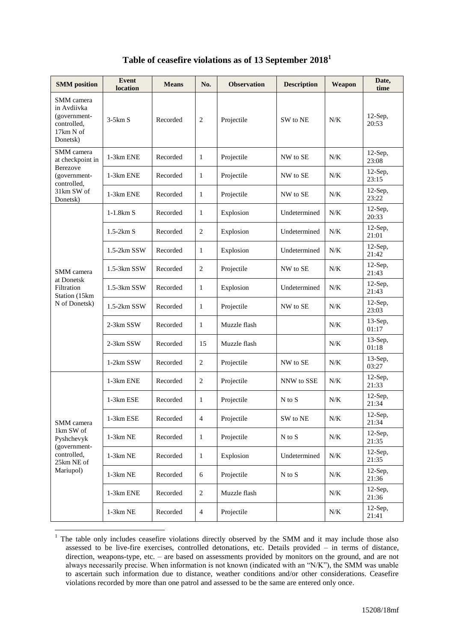|  |  |  |  |  | Table of ceasefire violations as of 13 September 2018 $^{\rm l}$ |  |
|--|--|--|--|--|------------------------------------------------------------------|--|
|--|--|--|--|--|------------------------------------------------------------------|--|

| <b>SMM</b> position                                                               | <b>Event</b><br>location | <b>Means</b> | No.            | <b>Observation</b> | <b>Description</b> | Weapon | Date,<br>time       |
|-----------------------------------------------------------------------------------|--------------------------|--------------|----------------|--------------------|--------------------|--------|---------------------|
| SMM camera<br>in Avdiivka<br>(government-<br>controlled,<br>17km N of<br>Donetsk) | $3-5km S$                | Recorded     | 2              | Projectile         | SW to NE           | N/K    | $12$ -Sep,<br>20:53 |
| SMM camera<br>at checkpoint in                                                    | 1-3km ENE                | Recorded     | 1              | Projectile         | NW to SE           | N/K    | $12$ -Sep,<br>23:08 |
| Berezove<br>(government-<br>controlled,                                           | 1-3km ENE                | Recorded     | 1              | Projectile         | NW to SE           | N/K    | $12$ -Sep,<br>23:15 |
| 31km SW of<br>Donetsk)                                                            | 1-3km ENE                | Recorded     | $\mathbf{1}$   | Projectile         | NW to SE           | N/K    | $12$ -Sep,<br>23:22 |
|                                                                                   | $1-1.8km S$              | Recorded     | $\mathbf{1}$   | Explosion          | Undetermined       | N/K    | $12$ -Sep,<br>20:33 |
|                                                                                   | $1.5-2km S$              | Recorded     | $\overline{c}$ | Explosion          | Undetermined       | N/K    | $12$ -Sep,<br>21:01 |
|                                                                                   | 1.5-2km SSW              | Recorded     | $\mathbf{1}$   | Explosion          | Undetermined       | N/K    | $12$ -Sep,<br>21:42 |
| SMM camera                                                                        | 1.5-3km SSW              | Recorded     | $\overline{c}$ | Projectile         | NW to SE           | N/K    | $12$ -Sep,<br>21:43 |
| at Donetsk<br>Filtration<br>Station (15km                                         | 1.5-3km SSW              | Recorded     | $\mathbf{1}$   | Explosion          | Undetermined       | N/K    | $12$ -Sep,<br>21:43 |
| N of Donetsk)                                                                     | 1.5-2km SSW              | Recorded     | $\mathbf{1}$   | Projectile         | NW to SE           | N/K    | $12$ -Sep,<br>23:03 |
|                                                                                   | 2-3km SSW                | Recorded     | $\mathbf{1}$   | Muzzle flash       |                    | N/K    | $13$ -Sep,<br>01:17 |
|                                                                                   | 2-3km SSW                | Recorded     | 15             | Muzzle flash       |                    | N/K    | $13$ -Sep,<br>01:18 |
|                                                                                   | 1-2km SSW                | Recorded     | $\mathbf{2}$   | Projectile         | NW to SE           | N/K    | $13$ -Sep,<br>03:27 |
|                                                                                   | 1-3km ENE                | Recorded     | $\mathbf{2}$   | Projectile         | NNW to SSE         | N/K    | $12$ -Sep,<br>21:33 |
|                                                                                   | 1-3km ESE                | Recorded     | 1              | Projectile         | N to S             | N/K    | $12$ -Sep,<br>21:34 |
| SMM camera                                                                        | 1-3km ESE                | Recorded     | $\overline{4}$ | Projectile         | SW to NE           | N/K    | 12-Sep,<br>21:34    |
| 1km SW of<br>Pyshchevyk<br>(government-<br>controlled,<br>25km NE of              | 1-3km NE                 | Recorded     | $\mathbf{1}$   | Projectile         | N to S             | N/K    | $12$ -Sep,<br>21:35 |
|                                                                                   | 1-3km NE                 | Recorded     | $\mathbf{1}$   | Explosion          | Undetermined       | N/K    | $12$ -Sep,<br>21:35 |
| Mariupol)                                                                         | $1-3km$ NE               | Recorded     | $6\,$          | Projectile         | N to S             | N/K    | $12$ -Sep,<br>21:36 |
|                                                                                   | 1-3km ENE                | Recorded     | $\sqrt{2}$     | Muzzle flash       |                    | N/K    | $12$ -Sep,<br>21:36 |
|                                                                                   | $1-3km$ NE               | Recorded     | $\overline{4}$ | Projectile         |                    | N/K    | $12$ -Sep,<br>21:41 |

 $1$  The table only includes ceasefire violations directly observed by the SMM and it may include those also assessed to be live-fire exercises, controlled detonations, etc. Details provided – in terms of distance, direction, weapons-type, etc. – are based on assessments provided by monitors on the ground, and are not always necessarily precise. When information is not known (indicated with an "N/K"), the SMM was unable to ascertain such information due to distance, weather conditions and/or other considerations. Ceasefire violations recorded by more than one patrol and assessed to be the same are entered only once.

1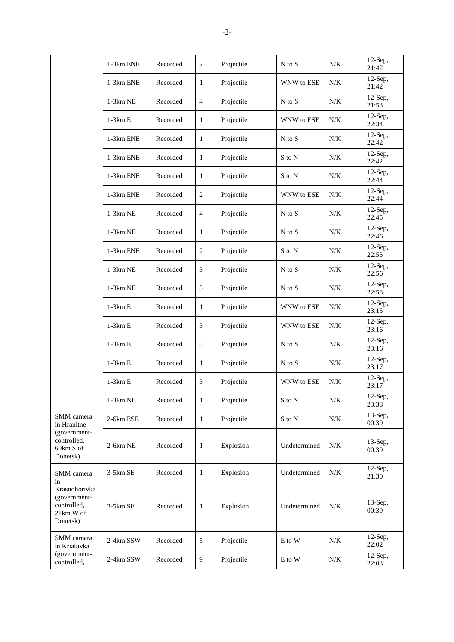|                                                                             | 1-3km ENE  | Recorded | $\overline{2}$ | Projectile | $N$ to $S$   | N/K   | $12-Sep,$<br>21:42  |
|-----------------------------------------------------------------------------|------------|----------|----------------|------------|--------------|-------|---------------------|
|                                                                             | 1-3km ENE  | Recorded | $\mathbf{1}$   | Projectile | WNW to ESE   | $N/K$ | $12$ -Sep,<br>21:42 |
|                                                                             | $1-3km$ NE | Recorded | $\overline{4}$ | Projectile | $N$ to $S$   | N/K   | $12$ -Sep,<br>21:53 |
|                                                                             | $1-3km E$  | Recorded | $\mathbf{1}$   | Projectile | WNW to ESE   | N/K   | $12-Sep,$<br>22:34  |
|                                                                             | 1-3km ENE  | Recorded | $\mathbf{1}$   | Projectile | $N$ to $S$   | N/K   | $12$ -Sep,<br>22:42 |
|                                                                             | 1-3km ENE  | Recorded | $\mathbf{1}$   | Projectile | S to N       | N/K   | $12$ -Sep,<br>22:42 |
|                                                                             | 1-3km ENE  | Recorded | $\mathbf{1}$   | Projectile | S to N       | N/K   | $12$ -Sep,<br>22:44 |
|                                                                             | 1-3km ENE  | Recorded | 2              | Projectile | WNW to ESE   | N/K   | $12$ -Sep,<br>22:44 |
|                                                                             | 1-3km NE   | Recorded | $\overline{4}$ | Projectile | $N$ to $S$   | N/K   | $12$ -Sep,<br>22:45 |
|                                                                             | $1-3km$ NE | Recorded | $\mathbf{1}$   | Projectile | $N$ to $S$   | N/K   | $12$ -Sep,<br>22:46 |
|                                                                             | 1-3km ENE  | Recorded | 2              | Projectile | S to N       | $N/K$ | $12$ -Sep,<br>22:55 |
|                                                                             | 1-3km NE   | Recorded | 3              | Projectile | $N$ to $S$   | N/K   | $12$ -Sep,<br>22:56 |
|                                                                             | 1-3km NE   | Recorded | 3              | Projectile | $N$ to $S$   | $N/K$ | $12$ -Sep,<br>22:58 |
|                                                                             | $1-3km E$  | Recorded | $\mathbf{1}$   | Projectile | WNW to ESE   | N/K   | $12$ -Sep,<br>23:15 |
|                                                                             | $1-3km E$  | Recorded | 3              | Projectile | WNW to ESE   | N/K   | $12$ -Sep,<br>23:16 |
|                                                                             | $1-3km E$  | Recorded | 3              | Projectile | $N$ to $S$   | N/K   | $12$ -Sep,<br>23:16 |
|                                                                             | $1-3km E$  | Recorded | $\mathbf{1}$   | Projectile | $N$ to $S$   | N/K   | $12$ -Sep,<br>23:17 |
|                                                                             | $1-3km E$  | Recorded | 3              | Projectile | WNW to ESE   | $N/K$ | $12$ -Sep,<br>23:17 |
|                                                                             | $1-3km$ NE | Recorded | $\mathbf{1}$   | Projectile | S to N       | N/K   | 12-Sep,<br>23:38    |
| SMM camera<br>in Hranitne                                                   | 2-6km ESE  | Recorded | $\mathbf{1}$   | Projectile | S to N       | N/K   | 13-Sep,<br>00:39    |
| (government-<br>controlled,<br>60km S of<br>Donetsk)                        | 2-6km NE   | Recorded | $\mathbf{1}$   | Explosion  | Undetermined | N/K   | $13$ -Sep,<br>00:39 |
| SMM camera                                                                  | 3-5km SE   | Recorded | $\mathbf{1}$   | Explosion  | Undetermined | N/K   | $12$ -Sep,<br>21:30 |
| in<br>Krasnohorivka<br>(government-<br>controlled,<br>21km W of<br>Donetsk) | 3-5km SE   | Recorded | $\mathbf{1}$   | Explosion  | Undetermined | N/K   | $13$ -Sep,<br>00:39 |
| SMM camera<br>in Kriakivka                                                  | 2-4km SSW  | Recorded | $\sqrt{5}$     | Projectile | E to W       | N/K   | $12$ -Sep,<br>22:02 |
| (government-<br>controlled,                                                 | 2-4km SSW  | Recorded | 9              | Projectile | E to W       | N/K   | $12$ -Sep,<br>22:03 |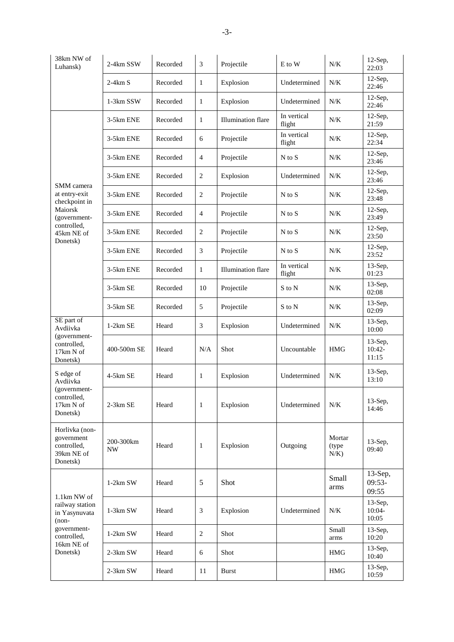| 38km NW of<br>Luhansk)                                                         | 2-4km SSW       | Recorded | 3              | Projectile                | E to W                | N/K                         | $12$ -Sep,<br>22:03             |
|--------------------------------------------------------------------------------|-----------------|----------|----------------|---------------------------|-----------------------|-----------------------------|---------------------------------|
|                                                                                | $2-4km S$       | Recorded | 1              | Explosion                 | Undetermined          | $N/K$                       | $12$ -Sep,<br>22:46             |
|                                                                                | 1-3km SSW       | Recorded | $\mathbf{1}$   | Explosion                 | Undetermined          | $N/K$                       | $12$ -Sep,<br>22:46             |
|                                                                                | 3-5km ENE       | Recorded | $\mathbf{1}$   | Illumination flare        | In vertical<br>flight | N/K                         | $12$ -Sep,<br>21:59             |
|                                                                                | 3-5km ENE       | Recorded | 6              | Projectile                | In vertical<br>flight | N/K                         | $12$ -Sep,<br>22:34             |
|                                                                                | 3-5km ENE       | Recorded | $\overline{4}$ | Projectile                | $N$ to $S$            | N/K                         | $12$ -Sep,<br>23:46             |
| SMM camera                                                                     | 3-5km ENE       | Recorded | $\overline{c}$ | Explosion                 | Undetermined          | N/K                         | $12$ -Sep,<br>23:46             |
| at entry-exit<br>checkpoint in                                                 | 3-5km ENE       | Recorded | $\overline{c}$ | Projectile                | $N$ to $S$            | N/K                         | $12$ -Sep,<br>23:48             |
| Maiorsk<br>(government-                                                        | 3-5km ENE       | Recorded | $\overline{4}$ | Projectile                | N to S                | N/K                         | $12$ -Sep,<br>23:49             |
| controlled,<br>45km NE of<br>Donetsk)                                          | 3-5km ENE       | Recorded | $\overline{c}$ | Projectile                | $N$ to $S$            | N/K                         | $12$ -Sep,<br>23:50             |
|                                                                                | 3-5km ENE       | Recorded | 3              | Projectile                | $N$ to $S$            | N/K                         | $12$ -Sep,<br>23:52             |
|                                                                                | 3-5km ENE       | Recorded | $\mathbf{1}$   | <b>Illumination</b> flare | In vertical<br>flight | $N/K$                       | $13$ -Sep,<br>01:23             |
|                                                                                | $3-5km$ SE      | Recorded | 10             | Projectile                | S to N                | N/K                         | $13$ -Sep,<br>02:08             |
|                                                                                | 3-5km SE        | Recorded | 5              | Projectile                | S to N                | N/K                         | $13$ -Sep,<br>02:09             |
| SE part of<br>Avdiivka<br>(government-<br>controlled,<br>17km N of<br>Donetsk) | $1-2km$ SE      | Heard    | 3              | Explosion                 | Undetermined          | N/K                         | $13$ -Sep,<br>10:00             |
|                                                                                | 400-500m SE     | Heard    | N/A            | Shot                      | Uncountable           | <b>HMG</b>                  | $13$ -Sep,<br>$10:42-$<br>11:15 |
| S edge of<br>Avdiivka<br>(government-<br>controlled,<br>17km N of<br>Donetsk)  | 4-5km SE        | Heard    | 1              | Explosion                 | Undetermined          | N/K                         | $13$ -Sep,<br>13:10             |
|                                                                                | $2-3km SE$      | Heard    | $\mathbf{1}$   | Explosion                 | Undetermined          | N/K                         | $13-Sep,$<br>14:46              |
| Horlivka (non-<br>government<br>controlled,<br>39km NE of<br>Donetsk)          | 200-300km<br>NW | Heard    | $\mathbf{1}$   | Explosion                 | Outgoing              | Mortar<br>(type)<br>$N/K$ ) | $13$ -Sep,<br>09:40             |
| 1.1km NW of<br>railway station<br>in Yasynuvata<br>$(non-$                     | $1-2km$ SW      | Heard    | 5              | Shot                      |                       | Small<br>arms               | $13$ -Sep,<br>$09:53-$<br>09:55 |
|                                                                                | $1-3km$ SW      | Heard    | $\mathfrak{Z}$ | Explosion                 | Undetermined          | N/K                         | $13$ -Sep,<br>10:04-<br>10:05   |
| government-<br>controlled,                                                     | 1-2km SW        | Heard    | $\overline{c}$ | Shot                      |                       | Small<br>arms               | $13$ -Sep,<br>10:20             |
| 16km NE of<br>Donetsk)                                                         | 2-3km SW        | Heard    | 6              | Shot                      |                       | HMG                         | $13$ -Sep,<br>10:40             |
|                                                                                | 2-3km SW        | Heard    | 11             | <b>Burst</b>              |                       | $\rm HMG$                   | $13$ -Sep,<br>10:59             |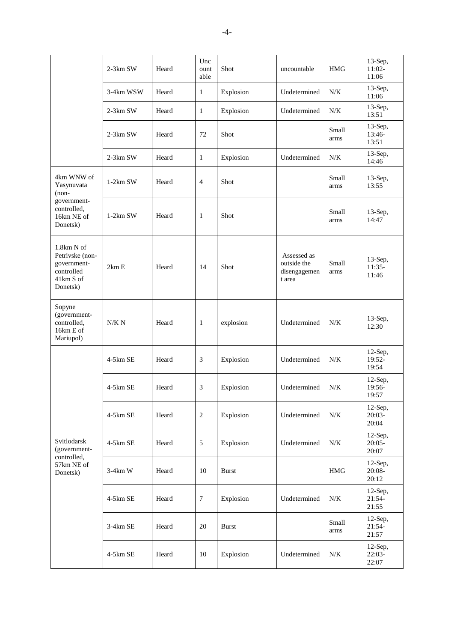|                                                                                     | 2-3km SW   | Heard | Unc<br>ount<br>able | Shot         | uncountable                                          | <b>HMG</b>    | 13-Sep,<br>$11:02-$<br>11:06    |
|-------------------------------------------------------------------------------------|------------|-------|---------------------|--------------|------------------------------------------------------|---------------|---------------------------------|
|                                                                                     | 3-4km WSW  | Heard | $\mathbf{1}$        | Explosion    | Undetermined                                         | N/K           | $13$ -Sep,<br>11:06             |
|                                                                                     | 2-3km SW   | Heard | 1                   | Explosion    | Undetermined                                         | N/K           | $13$ -Sep,<br>13:51             |
|                                                                                     | 2-3km SW   | Heard | 72                  | Shot         |                                                      | Small<br>arms | $13$ -Sep,<br>13:46-<br>13:51   |
|                                                                                     | $2-3km$ SW | Heard | 1                   | Explosion    | Undetermined                                         | N/K           | $13$ -Sep,<br>14:46             |
| 4km WNW of<br>Yasynuvata<br>$(non-$                                                 | $1-2km$ SW | Heard | 4                   | Shot         |                                                      | Small<br>arms | 13-Sep,<br>13:55                |
| government-<br>controlled,<br>16km NE of<br>Donetsk)                                | $1-2km$ SW | Heard | 1                   | Shot         |                                                      | Small<br>arms | $13$ -Sep,<br>14:47             |
| 1.8km N of<br>Petrivske (non-<br>government-<br>controlled<br>41km S of<br>Donetsk) | 2km E      | Heard | 14                  | Shot         | Assessed as<br>outside the<br>disengagemen<br>t area | Small<br>arms | $13$ -Sep,<br>$11:35-$<br>11:46 |
| Sopyne<br>(government-<br>controlled,<br>16km E of<br>Mariupol)                     | N/K N      | Heard | $\mathbf{1}$        | explosion    | Undetermined                                         | N/K           | $13$ -Sep,<br>12:30             |
| Svitlodarsk<br>(government-<br>controlled,<br>57km NE of<br>Donetsk)                | 4-5km SE   | Heard | 3                   | Explosion    | Undetermined                                         | N/K           | 12-Sep,<br>19:52-<br>19:54      |
|                                                                                     | $4-5km$ SE | Heard | 3                   | Explosion    | Undetermined                                         | N/K           | 12-Sep,<br>19:56-<br>19:57      |
|                                                                                     | 4-5km SE   | Heard | $\sqrt{2}$          | Explosion    | Undetermined                                         | $N\!/\!K$     | $12$ -Sep,<br>$20:03-$<br>20:04 |
|                                                                                     | 4-5km SE   | Heard | $\mathfrak{S}$      | Explosion    | Undetermined                                         | $N/K$         | $12$ -Sep,<br>$20:05-$<br>20:07 |
|                                                                                     | $3-4km$ W  | Heard | 10                  | <b>Burst</b> |                                                      | $\rm{HMG}$    | $12$ -Sep,<br>$20:08-$<br>20:12 |
|                                                                                     | 4-5km SE   | Heard | $\boldsymbol{7}$    | Explosion    | Undetermined                                         | $N/K$         | $12$ -Sep,<br>$21:54-$<br>21:55 |
|                                                                                     | $3-4km$ SE | Heard | 20                  | <b>Burst</b> |                                                      | Small<br>arms | $12$ -Sep,<br>$21:54-$<br>21:57 |
|                                                                                     | 4-5km SE   | Heard | 10                  | Explosion    | Undetermined                                         | $N/K$         | $12$ -Sep,<br>$22:03-$<br>22:07 |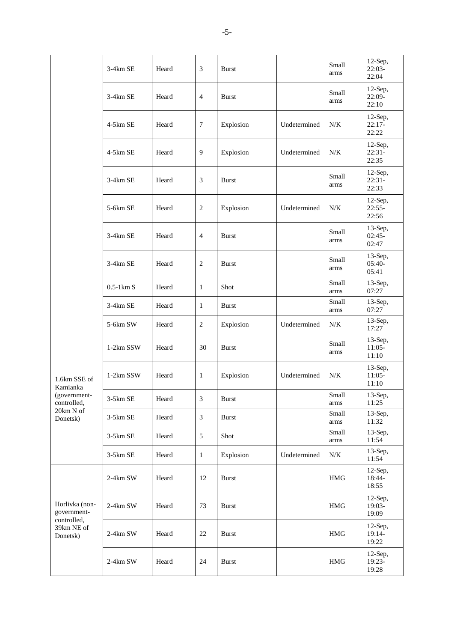|                                                                        | $3-4km$ SE          | Heard | 3              | <b>Burst</b> |              | Small<br>arms | $12$ -Sep,<br>$22:03-$<br>22:04 |
|------------------------------------------------------------------------|---------------------|-------|----------------|--------------|--------------|---------------|---------------------------------|
|                                                                        | 3-4km SE            | Heard | 4              | <b>Burst</b> |              | Small<br>arms | $12$ -Sep,<br>22:09-<br>22:10   |
|                                                                        | 4-5km SE            | Heard | 7              | Explosion    | Undetermined | N/K           | $12$ -Sep,<br>$22:17-$<br>22:22 |
|                                                                        | 4-5km SE            | Heard | 9              | Explosion    | Undetermined | N/K           | $12$ -Sep,<br>$22:31-$<br>22:35 |
|                                                                        | 3-4km SE            | Heard | 3              | <b>Burst</b> |              | Small<br>arms | $12$ -Sep,<br>$22:31-$<br>22:33 |
|                                                                        | 5-6km SE            | Heard | 2              | Explosion    | Undetermined | N/K           | $12$ -Sep,<br>$22:55-$<br>22:56 |
|                                                                        | 3-4km SE            | Heard | $\overline{4}$ | <b>Burst</b> |              | Small<br>arms | $13-Sep,$<br>$02:45-$<br>02:47  |
|                                                                        | 3-4km SE            | Heard | $\mathbf{2}$   | <b>Burst</b> |              | Small<br>arms | 13-Sep,<br>$05:40-$<br>05:41    |
|                                                                        | $0.5-1 \text{km} S$ | Heard | $\mathbf{1}$   | Shot         |              | Small<br>arms | $13-Sep,$<br>07:27              |
|                                                                        | 3-4km SE            | Heard | $\mathbf{1}$   | <b>Burst</b> |              | Small<br>arms | $13-Sep,$<br>07:27              |
|                                                                        | 5-6km SW            | Heard | $\overline{2}$ | Explosion    | Undetermined | N/K           | 13-Sep,<br>17:27                |
| 1.6km SSE of<br>Kamianka                                               | 1-2km SSW           | Heard | 30             | <b>Burst</b> |              | Small<br>arms | $13-Sep,$<br>$11:05-$<br>11:10  |
|                                                                        | 1-2km SSW           | Heard | 1              | Explosion    | Undetermined | N/K           | 13-Sep,<br>$11:05-$<br>11:10    |
| (government-<br>controlled,                                            | $3-5km$ SE          | Heard | 3              | Burst        |              | Small<br>arms | $13$ -Sep, $\,$<br>11:25        |
| 20km N of<br>Donetsk)                                                  | 3-5km SE            | Heard | $\mathfrak{Z}$ | <b>Burst</b> |              | Small<br>arms | $13-Sep,$<br>11:32              |
|                                                                        | 3-5km SE            | Heard | 5              | Shot         |              | Small<br>arms | $13-Sep,$<br>11:54              |
|                                                                        | $3-5km$ SE          | Heard | $\mathbf{1}$   | Explosion    | Undetermined | N/K           | $13-Sep,$<br>11:54              |
| Horlivka (non-<br>government-<br>controlled,<br>39km NE of<br>Donetsk) | 2-4km SW            | Heard | 12             | <b>Burst</b> |              | <b>HMG</b>    | $12$ -Sep,<br>18:44-<br>18:55   |
|                                                                        | 2-4km SW            | Heard | 73             | <b>Burst</b> |              | <b>HMG</b>    | $12$ -Sep,<br>19:03-<br>19:09   |
|                                                                        | $2-4km$ SW          | Heard | $22\,$         | <b>Burst</b> |              | $\rm{HMG}$    | $12$ -Sep,<br>19:14-<br>19:22   |
|                                                                        | $2-4km$ SW          | Heard | 24             | <b>Burst</b> |              | $\rm HMG$     | $12$ -Sep,<br>$19:23-$<br>19:28 |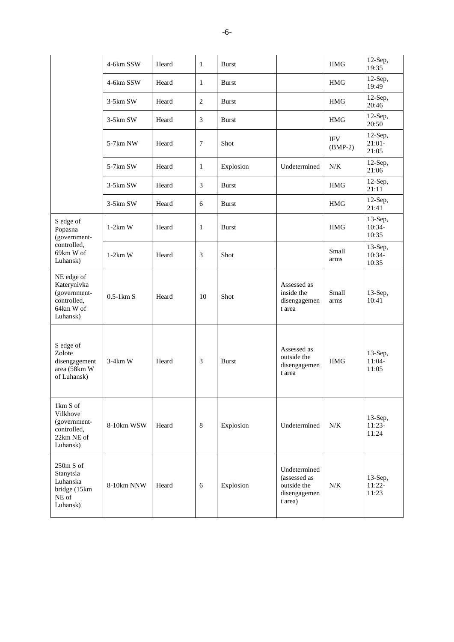|                                                                                   | 4-6km SSW           | Heard | $\mathbf{1}$   | Burst        |                                                                        | <b>HMG</b>              | $12-Sep,$<br>19:35              |
|-----------------------------------------------------------------------------------|---------------------|-------|----------------|--------------|------------------------------------------------------------------------|-------------------------|---------------------------------|
|                                                                                   | 4-6km SSW           | Heard | $\mathbf{1}$   | <b>Burst</b> |                                                                        | <b>HMG</b>              | $12$ -Sep,<br>19:49             |
|                                                                                   | 3-5km SW            | Heard | $\mathbf{2}$   | <b>Burst</b> |                                                                        | <b>HMG</b>              | $12$ -Sep,<br>20:46             |
|                                                                                   | $3-5km$ SW          | Heard | 3              | <b>Burst</b> |                                                                        | <b>HMG</b>              | $12$ -Sep,<br>20:50             |
|                                                                                   | 5-7km NW            | Heard | 7              | Shot         |                                                                        | <b>IFV</b><br>$(BMP-2)$ | $12$ -Sep,<br>$21:01-$<br>21:05 |
|                                                                                   | 5-7km SW            | Heard | $\mathbf{1}$   | Explosion    | Undetermined                                                           | N/K                     | $12$ -Sep,<br>21:06             |
|                                                                                   | $3-5km$ SW          | Heard | 3              | <b>Burst</b> |                                                                        | HMG                     | $12$ -Sep,<br>21:11             |
|                                                                                   | $3-5km$ SW          | Heard | 6              | Burst        |                                                                        | <b>HMG</b>              | $12$ -Sep,<br>21:41             |
| S edge of<br>Popasna<br>(government-                                              | $1-2km$ W           | Heard | 1              | <b>Burst</b> |                                                                        | <b>HMG</b>              | $13-Sep,$<br>10:34-<br>10:35    |
| controlled,<br>69km W of<br>Luhansk)                                              | $1-2km$ W           | Heard | $\mathfrak{Z}$ | Shot         |                                                                        | Small<br>arms           | $13-Sep,$<br>10:34-<br>10:35    |
| NE edge of<br>Katerynivka<br>(government-<br>controlled,<br>64km W of<br>Luhansk) | $0.5-1 \text{km}$ S | Heard | 10             | Shot         | Assessed as<br>inside the<br>disengagemen<br>t area                    | Small<br>arms           | $13-Sep,$<br>10:41              |
| S edge of<br>Zolote<br>disengagement<br>area (58km W<br>of Luhansk)               | $3-4km$ W           | Heard | 3              | <b>Burst</b> | Assessed as<br>outside the<br>disengagemen<br>t area                   | <b>HMG</b>              | $13$ -Sep,<br>$11:04-$<br>11:05 |
| 1km S of<br>Vilkhove<br>(government-<br>controlled,<br>22km NE of<br>Luhansk)     | 8-10km WSW          | Heard | $\,8\,$        | Explosion    | Undetermined                                                           | N/K                     | 13-Sep,<br>$11:23-$<br>11:24    |
| $250m S$ of<br>Stanytsia<br>Luhanska<br>bridge (15km<br>NE of<br>Luhansk)         | 8-10km NNW          | Heard | 6              | Explosion    | Undetermined<br>(assessed as<br>outside the<br>disengagemen<br>t area) | $N\!/\!K$               | $13-Sep,$<br>$11:22-$<br>11:23  |